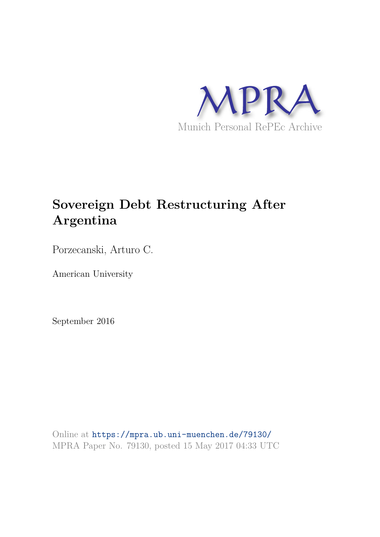

## **Sovereign Debt Restructuring After Argentina**

Porzecanski, Arturo C.

American University

September 2016

Online at https://mpra.ub.uni-muenchen.de/79130/ MPRA Paper No. 79130, posted 15 May 2017 04:33 UTC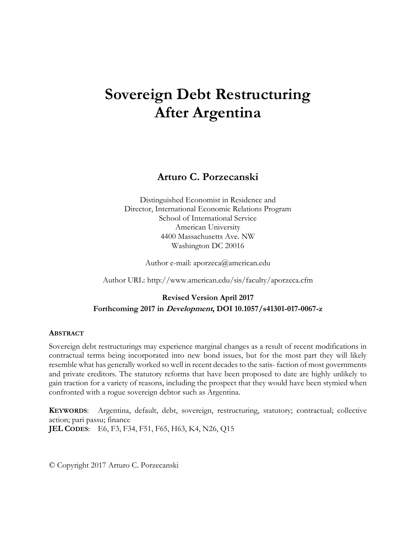# **Sovereign Debt Restructuring After Argentina**

## **Arturo C. Porzecanski**

Distinguished Economist in Residence and Director, International Economic Relations Program School of International Service American University 4400 Massachusetts Ave. NW Washington DC 20016

Author e-mail: aporzeca@american.edu

Author URL: http://www.american.edu/sis/faculty/aporzeca.cfm

### **Revised Version April 2017 Forthcoming 2017 in Development, DOI 10.1057/s41301-017-0067-z**

#### **ABSTRACT**

Sovereign debt restructurings may experience marginal changes as a result of recent modifications in contractual terms being incorporated into new bond issues, but for the most part they will likely resemble what has generally worked so well in recent decades to the satis- faction of most governments and private creditors. The statutory reforms that have been proposed to date are highly unlikely to gain traction for a variety of reasons, including the prospect that they would have been stymied when confronted with a rogue sovereign debtor such as Argentina.

**KEYWORDS**: Argentina, default, debt, sovereign, restructuring, statutory; contractual; collective action; pari passu; finance **JEL CODES**: E6, F3, F34, F51, F65, H63, K4, N26, Q15

© Copyright 2017 Arturo C. Porzecanski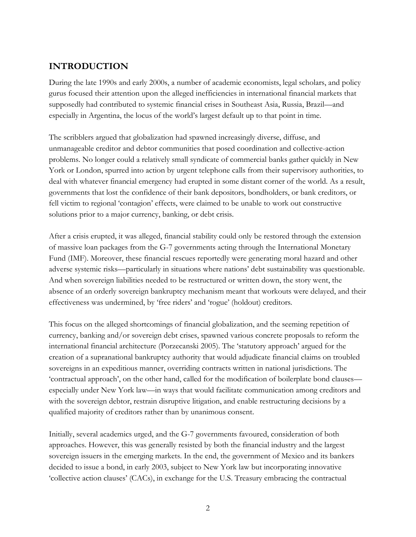## **INTRODUCTION**

During the late 1990s and early 2000s, a number of academic economists, legal scholars, and policy gurus focused their attention upon the alleged inefficiencies in international financial markets that supposedly had contributed to systemic financial crises in Southeast Asia, Russia, Brazil—and especially in Argentina, the locus of the world's largest default up to that point in time.

The scribblers argued that globalization had spawned increasingly diverse, diffuse, and unmanageable creditor and debtor communities that posed coordination and collective-action problems. No longer could a relatively small syndicate of commercial banks gather quickly in New York or London, spurred into action by urgent telephone calls from their supervisory authorities, to deal with whatever financial emergency had erupted in some distant corner of the world. As a result, governments that lost the confidence of their bank depositors, bondholders, or bank creditors, or fell victim to regional 'contagion' effects, were claimed to be unable to work out constructive solutions prior to a major currency, banking, or debt crisis.

After a crisis erupted, it was alleged, financial stability could only be restored through the extension of massive loan packages from the G-7 governments acting through the International Monetary Fund (IMF). Moreover, these financial rescues reportedly were generating moral hazard and other adverse systemic risks—particularly in situations where nations' debt sustainability was questionable. And when sovereign liabilities needed to be restructured or written down, the story went, the absence of an orderly sovereign bankruptcy mechanism meant that workouts were delayed, and their effectiveness was undermined, by 'free riders' and 'rogue' (holdout) creditors.

This focus on the alleged shortcomings of financial globalization, and the seeming repetition of currency, banking and/or sovereign debt crises, spawned various concrete proposals to reform the international financial architecture (Porzecanski 2005). The 'statutory approach' argued for the creation of a supranational bankruptcy authority that would adjudicate financial claims on troubled sovereigns in an expeditious manner, overriding contracts written in national jurisdictions. The 'contractual approach', on the other hand, called for the modification of boilerplate bond clauses especially under New York law—in ways that would facilitate communication among creditors and with the sovereign debtor, restrain disruptive litigation, and enable restructuring decisions by a qualified majority of creditors rather than by unanimous consent.

Initially, several academics urged, and the G-7 governments favoured, consideration of both approaches. However, this was generally resisted by both the financial industry and the largest sovereign issuers in the emerging markets. In the end, the government of Mexico and its bankers decided to issue a bond, in early 2003, subject to New York law but incorporating innovative 'collective action clauses' (CACs), in exchange for the U.S. Treasury embracing the contractual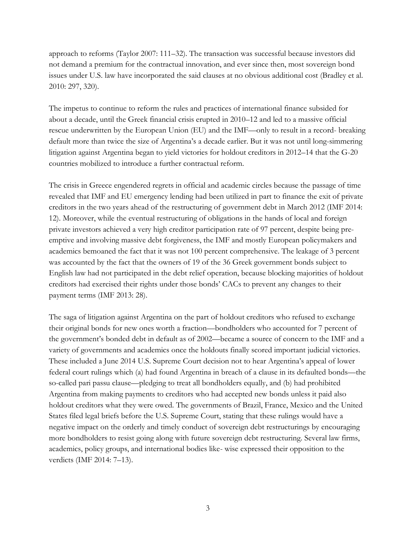approach to reforms (Taylor 2007: 111–32). The transaction was successful because investors did not demand a premium for the contractual innovation, and ever since then, most sovereign bond issues under U.S. law have incorporated the said clauses at no obvious additional cost (Bradley et al. 2010: 297, 320).

The impetus to continue to reform the rules and practices of international finance subsided for about a decade, until the Greek financial crisis erupted in 2010–12 and led to a massive official rescue underwritten by the European Union (EU) and the IMF—only to result in a record- breaking default more than twice the size of Argentina's a decade earlier. But it was not until long-simmering litigation against Argentina began to yield victories for holdout creditors in 2012–14 that the G-20 countries mobilized to introduce a further contractual reform.

The crisis in Greece engendered regrets in official and academic circles because the passage of time revealed that IMF and EU emergency lending had been utilized in part to finance the exit of private creditors in the two years ahead of the restructuring of government debt in March 2012 (IMF 2014: 12). Moreover, while the eventual restructuring of obligations in the hands of local and foreign private investors achieved a very high creditor participation rate of 97 percent, despite being preemptive and involving massive debt forgiveness, the IMF and mostly European policymakers and academics bemoaned the fact that it was not 100 percent comprehensive. The leakage of 3 percent was accounted by the fact that the owners of 19 of the 36 Greek government bonds subject to English law had not participated in the debt relief operation, because blocking majorities of holdout creditors had exercised their rights under those bonds' CACs to prevent any changes to their payment terms (IMF 2013: 28).

The saga of litigation against Argentina on the part of holdout creditors who refused to exchange their original bonds for new ones worth a fraction—bondholders who accounted for 7 percent of the government's bonded debt in default as of 2002—became a source of concern to the IMF and a variety of governments and academics once the holdouts finally scored important judicial victories. These included a June 2014 U.S. Supreme Court decision not to hear Argentina's appeal of lower federal court rulings which (a) had found Argentina in breach of a clause in its defaulted bonds—the so-called pari passu clause—pledging to treat all bondholders equally, and (b) had prohibited Argentina from making payments to creditors who had accepted new bonds unless it paid also holdout creditors what they were owed. The governments of Brazil, France, Mexico and the United States filed legal briefs before the U.S. Supreme Court, stating that these rulings would have a negative impact on the orderly and timely conduct of sovereign debt restructurings by encouraging more bondholders to resist going along with future sovereign debt restructuring. Several law firms, academics, policy groups, and international bodies like- wise expressed their opposition to the verdicts (IMF 2014: 7–13).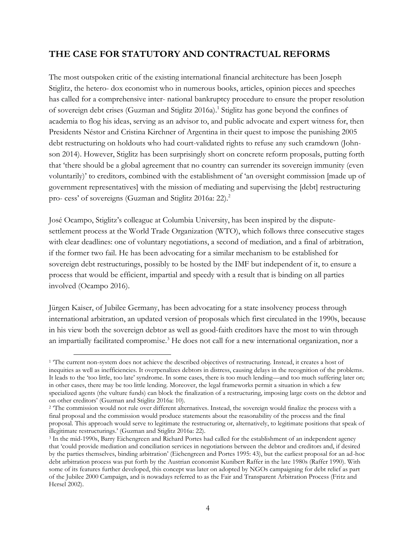## **THE CASE FOR STATUTORY AND CONTRACTUAL REFORMS**

The most outspoken critic of the existing international financial architecture has been Joseph Stiglitz, the hetero- dox economist who in numerous books, articles, opinion pieces and speeches has called for a comprehensive inter- national bankruptcy procedure to ensure the proper resolution of sovereign debt crises (Guzman and Stiglitz 2016a).<sup>1</sup> Stiglitz has gone beyond the confines of academia to flog his ideas, serving as an advisor to, and public advocate and expert witness for, then Presidents Néstor and Cristina Kirchner of Argentina in their quest to impose the punishing 2005 debt restructuring on holdouts who had court-validated rights to refuse any such cramdown (Johnson 2014). However, Stiglitz has been surprisingly short on concrete reform proposals, putting forth that 'there should be a global agreement that no country can surrender its sovereign immunity (even voluntarily)' to creditors, combined with the establishment of 'an oversight commission [made up of government representatives] with the mission of mediating and supervising the [debt] restructuring pro- cess' of sovereigns (Guzman and Stiglitz 2016a: 22).<sup>2</sup>

José Ocampo, Stiglitz's colleague at Columbia University, has been inspired by the disputesettlement process at the World Trade Organization (WTO), which follows three consecutive stages with clear deadlines: one of voluntary negotiations, a second of mediation, and a final of arbitration, if the former two fail. He has been advocating for a similar mechanism to be established for sovereign debt restructurings, possibly to be hosted by the IMF but independent of it, to ensure a process that would be efficient, impartial and speedy with a result that is binding on all parties involved (Ocampo 2016).

Jürgen Kaiser, of Jubilee Germany, has been advocating for a state insolvency process through international arbitration, an updated version of proposals which first circulated in the 1990s, because in his view both the sovereign debtor as well as good-faith creditors have the most to win through an impartially facilitated compromise.<sup>3</sup> He does not call for a new international organization, nor a

l <sup>1</sup> The current non-system does not achieve the described objectives of restructuring. Instead, it creates a host of inequities as well as inefficiencies. It overpenalizes debtors in distress, causing delays in the recognition of the problems. It leads to the 'too little, too late' syndrome. In some cases, there is too much lending—and too much suffering later on; in other cases, there may be too little lending. Moreover, the legal frameworks permit a situation in which a few specialized agents (the vulture funds) can block the finalization of a restructuring, imposing large costs on the debtor and on other creditors' (Guzman and Stiglitz 2016a: 10).

<sup>&</sup>lt;sup>2</sup> The commission would not rule over different alternatives. Instead, the sovereign would finalize the process with a final proposal and the commission would produce statements about the reasonability of the process and the final proposal. This approach would serve to legitimate the restructuring or, alternatively, to legitimate positions that speak of illegitimate restructurings.' (Guzman and Stiglitz 2016a: 22).

<sup>3</sup> In the mid-1990s, Barry Eichengreen and Richard Portes had called for the establishment of an independent agency that 'could provide mediation and conciliation services in negotiations between the debtor and creditors and, if desired by the parties themselves, binding arbitration' (Eichengreen and Portes 1995: 43), but the earliest proposal for an ad-hoc debt arbitration process was put forth by the Austrian economist Kunibert Raffer in the late 1980s (Raffer 1990). With some of its features further developed, this concept was later on adopted by NGOs campaigning for debt relief as part of the Jubilee 2000 Campaign, and is nowadays referred to as the Fair and Transparent Arbitration Process (Fritz and Hersel 2002).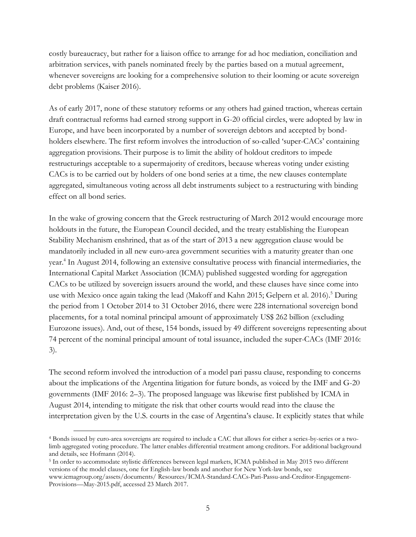costly bureaucracy, but rather for a liaison office to arrange for ad hoc mediation, conciliation and arbitration services, with panels nominated freely by the parties based on a mutual agreement, whenever sovereigns are looking for a comprehensive solution to their looming or acute sovereign debt problems (Kaiser 2016).

As of early 2017, none of these statutory reforms or any others had gained traction, whereas certain draft contractual reforms had earned strong support in G-20 official circles, were adopted by law in Europe, and have been incorporated by a number of sovereign debtors and accepted by bondholders elsewhere. The first reform involves the introduction of so-called 'super-CACs' containing aggregation provisions. Their purpose is to limit the ability of holdout creditors to impede restructurings acceptable to a supermajority of creditors, because whereas voting under existing CACs is to be carried out by holders of one bond series at a time, the new clauses contemplate aggregated, simultaneous voting across all debt instruments subject to a restructuring with binding effect on all bond series.

In the wake of growing concern that the Greek restructuring of March 2012 would encourage more holdouts in the future, the European Council decided, and the treaty establishing the European Stability Mechanism enshrined, that as of the start of 2013 a new aggregation clause would be mandatorily included in all new euro-area government securities with a maturity greater than one year.<sup>4</sup> In August 2014, following an extensive consultative process with financial intermediaries, the International Capital Market Association (ICMA) published suggested wording for aggregation CACs to be utilized by sovereign issuers around the world, and these clauses have since come into use with Mexico once again taking the lead (Makoff and Kahn 2015; Gelpern et al. 2016).<sup>5</sup> During the period from 1 October 2014 to 31 October 2016, there were 228 international sovereign bond placements, for a total nominal principal amount of approximately US\$ 262 billion (excluding Eurozone issues). And, out of these, 154 bonds, issued by 49 different sovereigns representing about 74 percent of the nominal principal amount of total issuance, included the super-CACs (IMF 2016: 3).

The second reform involved the introduction of a model pari passu clause, responding to concerns about the implications of the Argentina litigation for future bonds, as voiced by the IMF and G-20 governments (IMF 2016: 2–3). The proposed language was likewise first published by ICMA in August 2014, intending to mitigate the risk that other courts would read into the clause the interpretation given by the U.S. courts in the case of Argentina's clause. It explicitly states that while

5 In order to accommodate stylistic differences between legal markets, ICMA published in May 2015 two different versions of the model clauses, one for English-law bonds and another for New York-law bonds, see www.icmagroup.org/assets/documents/ Resources/ICMA-Standard-CACs-Pari-Passu-and-Creditor-Engagement-Provisions—May-2015.pdf, accessed 23 March 2017.

 $\overline{a}$ 

<sup>4</sup> Bonds issued by euro-area sovereigns are required to include a CAC that allows for either a series-by-series or a twolimb aggregated voting procedure. The latter enables differential treatment among creditors. For additional background and details, see Hofmann (2014).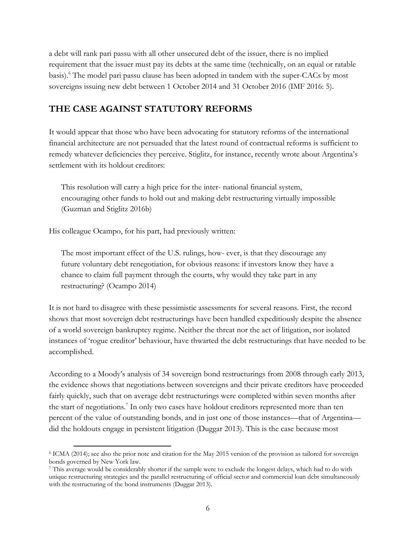a debt will rank pari passu with all other unsecured debt of the issuer, there is no implied requirement that the issuer must pay its debts at the same time (technically, on an equal or ratable basis).<sup>6</sup> The model pari passu clause has been adopted in tandem with the super-CACs by most sovereigns issuing new debt between 1 October 2014 and 31 October 2016 (IMF 2016: 5).

### **THE CASE AGAINST STATUTORY REFORMS**

It would appear that those who have been advocating for statutory reforms of the international financial architecture are not persuaded that the latest round of contractual reforms is sufficient to remedy whatever deficiencies they perceive. Stiglitz, for instance, recently wrote about Argentina's settlement with its holdout creditors:

This resolution will carry a high price for the inter- national financial system, encouraging other funds to hold out and making debt restructuring virtually impossible (Guzman and Stiglitz 2016b)

His colleague Ocampo, for his part, had previously written:

l

The most important effect of the U.S. rulings, how- ever, is that they discourage any future voluntary debt renegotiation, for obvious reasons: if investors know they have a chance to claim full payment through the courts, why would they take part in any restructuring? (Ocampo 2014)

It is not hard to disagree with these pessimistic assessments for several reasons. First, the record shows that most sovereign debt restructurings have been handled expeditiously despite the absence of a world sovereign bankruptcy regime. Neither the threat nor the act of litigation, nor isolated instances of 'rogue creditor' behaviour, have thwarted the debt restructurings that have needed to be accomplished.

According to a Moody's analysis of 34 sovereign bond restructurings from 2008 through early 2013, the evidence shows that negotiations between sovereigns and their private creditors have proceeded fairly quickly, such that on average debt restructurings were completed within seven months after the start of negotiations.<sup>7</sup> In only two cases have holdout creditors represented more than ten percent of the value of outstanding bonds, and in just one of those instances—that of Argentina did the holdouts engage in persistent litigation (Duggar 2013). This is the case because most

<sup>6</sup> ICMA (2014); see also the prior note and citation for the May 2015 version of the provision as tailored for sovereign bonds governed by New York law.

<sup>7</sup> This average would be considerably shorter if the sample were to exclude the longest delays, which had to do with unique restructuring strategies and the parallel restructuring of official sector and commercial loan debt simultaneously with the restructuring of the bond instruments (Duggar 2013).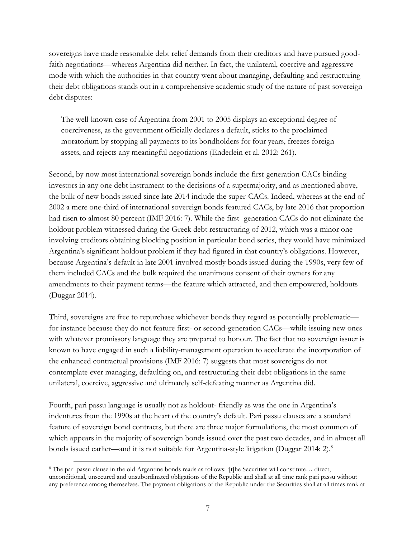sovereigns have made reasonable debt relief demands from their creditors and have pursued goodfaith negotiations—whereas Argentina did neither. In fact, the unilateral, coercive and aggressive mode with which the authorities in that country went about managing, defaulting and restructuring their debt obligations stands out in a comprehensive academic study of the nature of past sovereign debt disputes:

The well-known case of Argentina from 2001 to 2005 displays an exceptional degree of coerciveness, as the government officially declares a default, sticks to the proclaimed moratorium by stopping all payments to its bondholders for four years, freezes foreign assets, and rejects any meaningful negotiations (Enderlein et al. 2012: 261).

Second, by now most international sovereign bonds include the first-generation CACs binding investors in any one debt instrument to the decisions of a supermajority, and as mentioned above, the bulk of new bonds issued since late 2014 include the super-CACs. Indeed, whereas at the end of 2002 a mere one-third of international sovereign bonds featured CACs, by late 2016 that proportion had risen to almost 80 percent (IMF 2016: 7). While the first- generation CACs do not eliminate the holdout problem witnessed during the Greek debt restructuring of 2012, which was a minor one involving creditors obtaining blocking position in particular bond series, they would have minimized Argentina's significant holdout problem if they had figured in that country's obligations. However, because Argentina's default in late 2001 involved mostly bonds issued during the 1990s, very few of them included CACs and the bulk required the unanimous consent of their owners for any amendments to their payment terms—the feature which attracted, and then empowered, holdouts (Duggar 2014).

Third, sovereigns are free to repurchase whichever bonds they regard as potentially problematic for instance because they do not feature first- or second-generation CACs—while issuing new ones with whatever promissory language they are prepared to honour. The fact that no sovereign issuer is known to have engaged in such a liability-management operation to accelerate the incorporation of the enhanced contractual provisions (IMF 2016: 7) suggests that most sovereigns do not contemplate ever managing, defaulting on, and restructuring their debt obligations in the same unilateral, coercive, aggressive and ultimately self-defeating manner as Argentina did.

Fourth, pari passu language is usually not as holdout- friendly as was the one in Argentina's indentures from the 1990s at the heart of the country's default. Pari passu clauses are a standard feature of sovereign bond contracts, but there are three major formulations, the most common of which appears in the majority of sovereign bonds issued over the past two decades, and in almost all bonds issued earlier—and it is not suitable for Argentina-style litigation (Duggar 2014: 2).<sup>8</sup>

 $\overline{a}$ 8 The pari passu clause in the old Argentine bonds reads as follows: '[t]he Securities will constitute… direct, unconditional, unsecured and unsubordinated obligations of the Republic and shall at all time rank pari passu without any preference among themselves. The payment obligations of the Republic under the Securities shall at all times rank at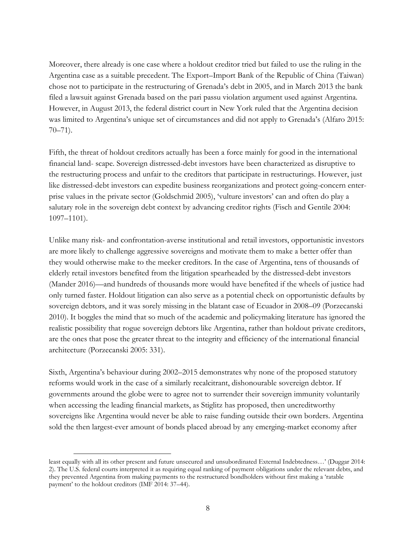Moreover, there already is one case where a holdout creditor tried but failed to use the ruling in the Argentina case as a suitable precedent. The Export–Import Bank of the Republic of China (Taiwan) chose not to participate in the restructuring of Grenada's debt in 2005, and in March 2013 the bank filed a lawsuit against Grenada based on the pari passu violation argument used against Argentina. However, in August 2013, the federal district court in New York ruled that the Argentina decision was limited to Argentina's unique set of circumstances and did not apply to Grenada's (Alfaro 2015:  $70 - 71$ ).

Fifth, the threat of holdout creditors actually has been a force mainly for good in the international financial land- scape. Sovereign distressed-debt investors have been characterized as disruptive to the restructuring process and unfair to the creditors that participate in restructurings. However, just like distressed-debt investors can expedite business reorganizations and protect going-concern enterprise values in the private sector (Goldschmid 2005), 'vulture investors' can and often do play a salutary role in the sovereign debt context by advancing creditor rights (Fisch and Gentile 2004: 1097–1101).

Unlike many risk- and confrontation-averse institutional and retail investors, opportunistic investors are more likely to challenge aggressive sovereigns and motivate them to make a better offer than they would otherwise make to the meeker creditors. In the case of Argentina, tens of thousands of elderly retail investors benefited from the litigation spearheaded by the distressed-debt investors (Mander 2016)—and hundreds of thousands more would have benefited if the wheels of justice had only turned faster. Holdout litigation can also serve as a potential check on opportunistic defaults by sovereign debtors, and it was sorely missing in the blatant case of Ecuador in 2008–09 (Porzecanski 2010). It boggles the mind that so much of the academic and policymaking literature has ignored the realistic possibility that rogue sovereign debtors like Argentina, rather than holdout private creditors, are the ones that pose the greater threat to the integrity and efficiency of the international financial architecture (Porzecanski 2005: 331).

Sixth, Argentina's behaviour during 2002–2015 demonstrates why none of the proposed statutory reforms would work in the case of a similarly recalcitrant, dishonourable sovereign debtor. If governments around the globe were to agree not to surrender their sovereign immunity voluntarily when accessing the leading financial markets, as Stiglitz has proposed, then uncreditworthy sovereigns like Argentina would never be able to raise funding outside their own borders. Argentina sold the then largest-ever amount of bonds placed abroad by any emerging-market economy after

l

least equally with all its other present and future unsecured and unsubordinated External Indebtedness…' (Duggar 2014: 2). The U.S. federal courts interpreted it as requiring equal ranking of payment obligations under the relevant debts, and they prevented Argentina from making payments to the restructured bondholders without first making a 'ratable payment' to the holdout creditors (IMF 2014: 37–44).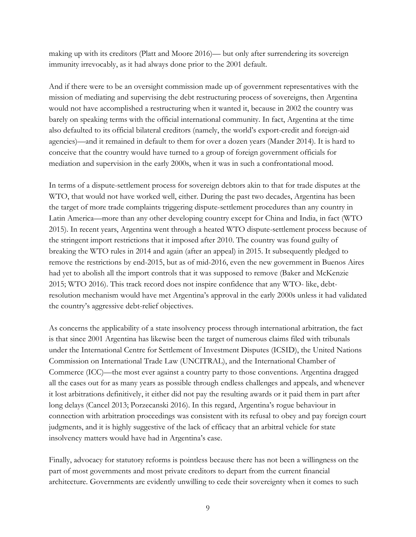making up with its creditors (Platt and Moore 2016)— but only after surrendering its sovereign immunity irrevocably, as it had always done prior to the 2001 default.

And if there were to be an oversight commission made up of government representatives with the mission of mediating and supervising the debt restructuring process of sovereigns, then Argentina would not have accomplished a restructuring when it wanted it, because in 2002 the country was barely on speaking terms with the official international community. In fact, Argentina at the time also defaulted to its official bilateral creditors (namely, the world's export-credit and foreign-aid agencies)—and it remained in default to them for over a dozen years (Mander 2014). It is hard to conceive that the country would have turned to a group of foreign government officials for mediation and supervision in the early 2000s, when it was in such a confrontational mood.

In terms of a dispute-settlement process for sovereign debtors akin to that for trade disputes at the WTO, that would not have worked well, either. During the past two decades, Argentina has been the target of more trade complaints triggering dispute-settlement procedures than any country in Latin America—more than any other developing country except for China and India, in fact (WTO 2015). In recent years, Argentina went through a heated WTO dispute-settlement process because of the stringent import restrictions that it imposed after 2010. The country was found guilty of breaking the WTO rules in 2014 and again (after an appeal) in 2015. It subsequently pledged to remove the restrictions by end-2015, but as of mid-2016, even the new government in Buenos Aires had yet to abolish all the import controls that it was supposed to remove (Baker and McKenzie 2015; WTO 2016). This track record does not inspire confidence that any WTO- like, debtresolution mechanism would have met Argentina's approval in the early 2000s unless it had validated the country's aggressive debt-relief objectives.

As concerns the applicability of a state insolvency process through international arbitration, the fact is that since 2001 Argentina has likewise been the target of numerous claims filed with tribunals under the International Centre for Settlement of Investment Disputes (ICSID), the United Nations Commission on International Trade Law (UNCITRAL), and the International Chamber of Commerce (ICC)—the most ever against a country party to those conventions. Argentina dragged all the cases out for as many years as possible through endless challenges and appeals, and whenever it lost arbitrations definitively, it either did not pay the resulting awards or it paid them in part after long delays (Cancel 2013; Porzecanski 2016). In this regard, Argentina's rogue behaviour in connection with arbitration proceedings was consistent with its refusal to obey and pay foreign court judgments, and it is highly suggestive of the lack of efficacy that an arbitral vehicle for state insolvency matters would have had in Argentina's case.

Finally, advocacy for statutory reforms is pointless because there has not been a willingness on the part of most governments and most private creditors to depart from the current financial architecture. Governments are evidently unwilling to cede their sovereignty when it comes to such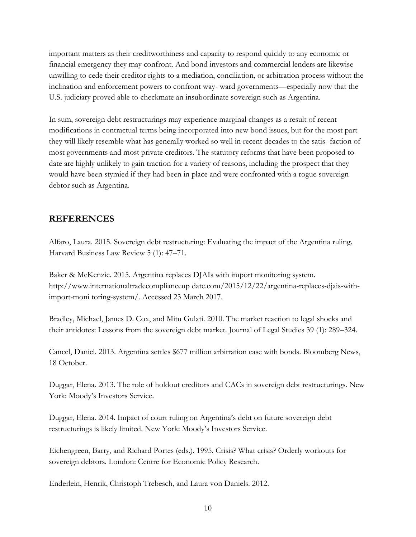important matters as their creditworthiness and capacity to respond quickly to any economic or financial emergency they may confront. And bond investors and commercial lenders are likewise unwilling to cede their creditor rights to a mediation, conciliation, or arbitration process without the inclination and enforcement powers to confront way- ward governments—especially now that the U.S. judiciary proved able to checkmate an insubordinate sovereign such as Argentina.

In sum, sovereign debt restructurings may experience marginal changes as a result of recent modifications in contractual terms being incorporated into new bond issues, but for the most part they will likely resemble what has generally worked so well in recent decades to the satis- faction of most governments and most private creditors. The statutory reforms that have been proposed to date are highly unlikely to gain traction for a variety of reasons, including the prospect that they would have been stymied if they had been in place and were confronted with a rogue sovereign debtor such as Argentina.

## **REFERENCES**

Alfaro, Laura. 2015. Sovereign debt restructuring: Evaluating the impact of the Argentina ruling. Harvard Business Law Review 5 (1): 47–71.

Baker & McKenzie. 2015. Argentina replaces DJAIs with import monitoring system. http://www.internationaltradecomplianceup date.com/2015/12/22/argentina-replaces-djais-withimport-moni toring-system/. Accessed 23 March 2017.

Bradley, Michael, James D. Cox, and Mitu Gulati. 2010. The market reaction to legal shocks and their antidotes: Lessons from the sovereign debt market. Journal of Legal Studies 39 (1): 289–324.

Cancel, Daniel. 2013. Argentina settles \$677 million arbitration case with bonds. Bloomberg News, 18 October.

Duggar, Elena. 2013. The role of holdout creditors and CACs in sovereign debt restructurings. New York: Moody's Investors Service.

Duggar, Elena. 2014. Impact of court ruling on Argentina's debt on future sovereign debt restructurings is likely limited. New York: Moody's Investors Service.

Eichengreen, Barry, and Richard Portes (eds.). 1995. Crisis? What crisis? Orderly workouts for sovereign debtors. London: Centre for Economic Policy Research.

Enderlein, Henrik, Christoph Trebesch, and Laura von Daniels. 2012.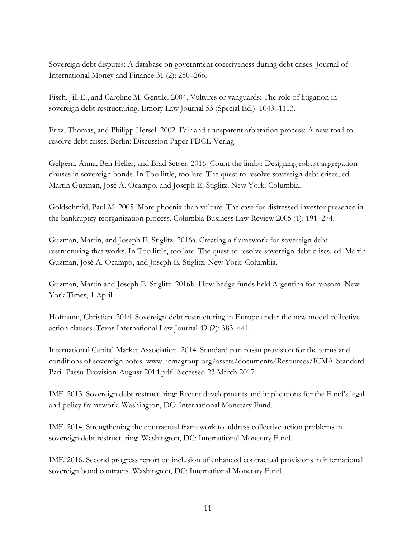Sovereign debt disputes: A database on government coerciveness during debt crises. Journal of International Money and Finance 31 (2): 250–266.

Fisch, Jill E., and Caroline M. Gentile. 2004. Vultures or vanguards: The role of litigation in sovereign debt restructuring. Emory Law Journal 53 (Special Ed.): 1043–1113.

Fritz, Thomas, and Philipp Hersel. 2002. Fair and transparent arbitration process: A new road to resolve debt crises. Berlin: Discussion Paper FDCL-Verlag.

Gelpern, Anna, Ben Heller, and Brad Setser. 2016. Count the limbs: Designing robust aggregation clauses in sovereign bonds. In Too little, too late: The quest to resolve sovereign debt crises, ed. Martin Guzman, José A. Ocampo, and Joseph E. Stiglitz. New York: Columbia.

Goldschmid, Paul M. 2005. More phoenix than vulture: The case for distressed investor presence in the bankruptcy reorganization process. Columbia Business Law Review 2005 (1): 191–274.

Guzman, Martin, and Joseph E. Stiglitz. 2016a. Creating a framework for sovereign debt restructuring that works. In Too little, too late: The quest to resolve sovereign debt crises, ed. Martin Guzman, José A. Ocampo, and Joseph E. Stiglitz. New York: Columbia.

Guzman, Martin and Joseph E. Stiglitz. 2016b. How hedge funds held Argentina for ransom. New York Times, 1 April.

Hofmann, Christian. 2014. Sovereign-debt restructuring in Europe under the new model collective action clauses. Texas International Law Journal 49 (2): 383–441.

International Capital Market Association. 2014. Standard pari passu provision for the terms and conditions of sovereign notes. www. icmagroup.org/assets/documents/Resources/ICMA-Standard-Pari- Passu-Provision-August-2014.pdf. Accessed 23 March 2017.

IMF. 2013. Sovereign debt restructuring: Recent developments and implications for the Fund's legal and policy framework. Washington, DC: International Monetary Fund.

IMF. 2014. Strengthening the contractual framework to address collective action problems in sovereign debt restructuring. Washington, DC: International Monetary Fund.

IMF. 2016. Second progress report on inclusion of enhanced contractual provisions in international sovereign bond contracts. Washington, DC: International Monetary Fund.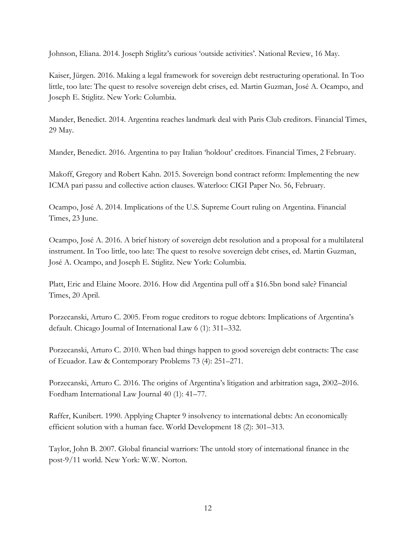Johnson, Eliana. 2014. Joseph Stiglitz's curious 'outside activities'. National Review, 16 May.

Kaiser, Jürgen. 2016. Making a legal framework for sovereign debt restructuring operational. In Too little, too late: The quest to resolve sovereign debt crises, ed. Martin Guzman, José A. Ocampo, and Joseph E. Stiglitz. New York: Columbia.

Mander, Benedict. 2014. Argentina reaches landmark deal with Paris Club creditors. Financial Times, 29 May.

Mander, Benedict. 2016. Argentina to pay Italian 'holdout' creditors. Financial Times, 2 February.

Makoff, Gregory and Robert Kahn. 2015. Sovereign bond contract reform: Implementing the new ICMA pari passu and collective action clauses. Waterloo: CIGI Paper No. 56, February.

Ocampo, José A. 2014. Implications of the U.S. Supreme Court ruling on Argentina. Financial Times, 23 June.

Ocampo, José A. 2016. A brief history of sovereign debt resolution and a proposal for a multilateral instrument. In Too little, too late: The quest to resolve sovereign debt crises, ed. Martin Guzman, José A. Ocampo, and Joseph E. Stiglitz. New York: Columbia.

Platt, Eric and Elaine Moore. 2016. How did Argentina pull off a \$16.5bn bond sale? Financial Times, 20 April.

Porzecanski, Arturo C. 2005. From rogue creditors to rogue debtors: Implications of Argentina's default. Chicago Journal of International Law 6 (1): 311–332.

Porzecanski, Arturo C. 2010. When bad things happen to good sovereign debt contracts: The case of Ecuador. Law & Contemporary Problems 73 (4): 251–271.

Porzecanski, Arturo C. 2016. The origins of Argentina's litigation and arbitration saga, 2002–2016. Fordham International Law Journal 40 (1): 41–77.

Raffer, Kunibert. 1990. Applying Chapter 9 insolvency to international debts: An economically efficient solution with a human face. World Development 18 (2): 301–313.

Taylor, John B. 2007. Global financial warriors: The untold story of international finance in the post-9/11 world. New York: W.W. Norton.